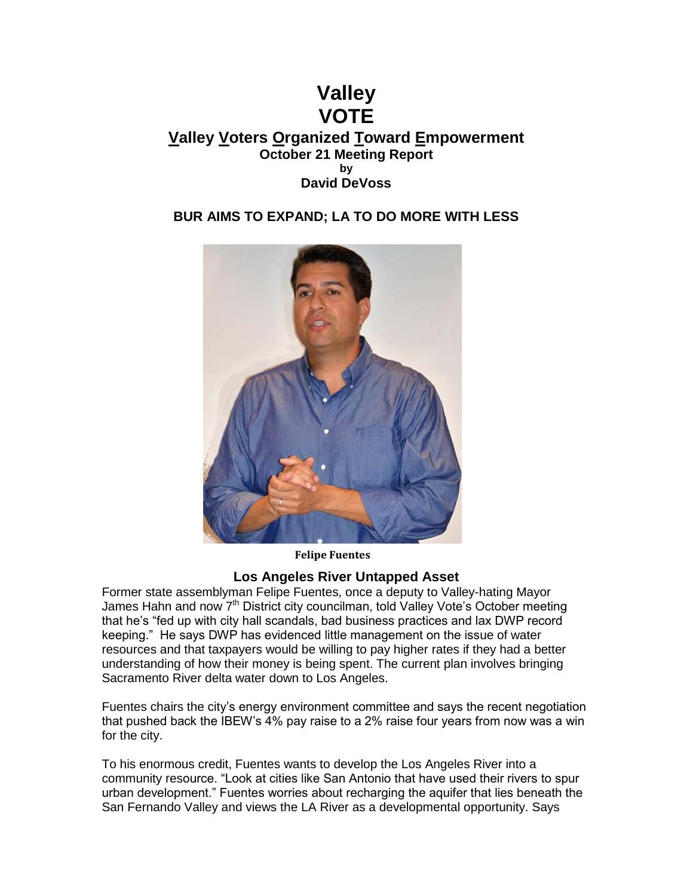# **Valley VOTE Valley Voters Organized Toward Empowerment October 21 Meeting Report by David DeVoss**

# **BUR AIMS TO EXPAND; LA TO DO MORE WITH LESS**



**Felipe Fuentes**

#### **Los Angeles River Untapped Asset**

Former state assemblyman Felipe Fuentes, once a deputy to Valley-hating Mayor James Hahn and now 7<sup>th</sup> District city councilman, told Valley Vote's October meeting that he's "fed up with city hall scandals, bad business practices and lax DWP record keeping." He says DWP has evidenced little management on the issue of water resources and that taxpayers would be willing to pay higher rates if they had a better understanding of how their money is being spent. The current plan involves bringing Sacramento River delta water down to Los Angeles.

Fuentes chairs the city's energy environment committee and says the recent negotiation that pushed back the IBEW's 4% pay raise to a 2% raise four years from now was a win for the city.

To his enormous credit, Fuentes wants to develop the Los Angeles River into a community resource. "Look at cities like San Antonio that have used their rivers to spur urban development." Fuentes worries about recharging the aquifer that lies beneath the San Fernando Valley and views the LA River as a developmental opportunity. Says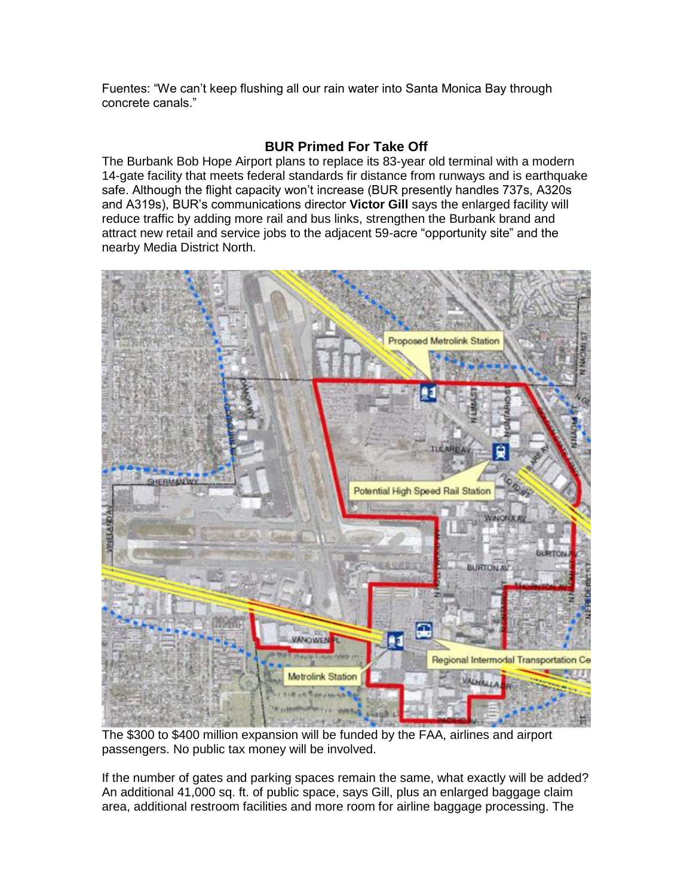Fuentes: "We can't keep flushing all our rain water into Santa Monica Bay through concrete canals."

### **BUR Primed For Take Off**

The Burbank Bob Hope Airport plans to replace its 83-year old terminal with a modern 14-gate facility that meets federal standards fir distance from runways and is earthquake safe. Although the flight capacity won't increase (BUR presently handles 737s, A320s and A319s), BUR's communications director **Victor Gill** says the enlarged facility will reduce traffic by adding more rail and bus links, strengthen the Burbank brand and attract new retail and service jobs to the adjacent 59-acre "opportunity site" and the nearby Media District North.



The \$300 to \$400 million expansion will be funded by the FAA, airlines and airport passengers. No public tax money will be involved.

If the number of gates and parking spaces remain the same, what exactly will be added? An additional 41,000 sq. ft. of public space, says Gill, plus an enlarged baggage claim area, additional restroom facilities and more room for airline baggage processing. The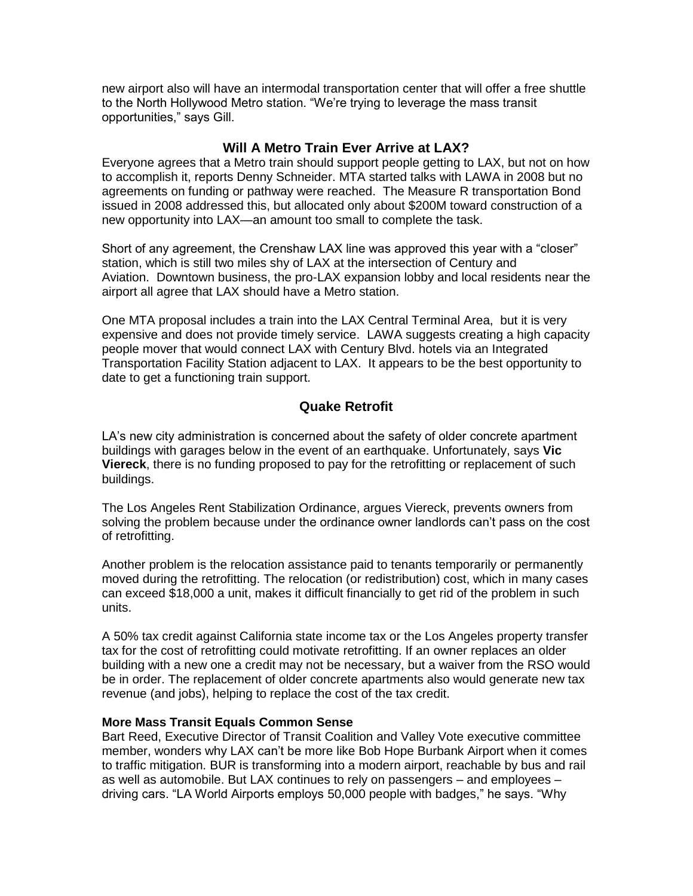new airport also will have an intermodal transportation center that will offer a free shuttle to the North Hollywood Metro station. "We're trying to leverage the mass transit opportunities," says Gill.

#### **Will A Metro Train Ever Arrive at LAX?**

Everyone agrees that a Metro train should support people getting to LAX, but not on how to accomplish it, reports Denny Schneider. MTA started talks with LAWA in 2008 but no agreements on funding or pathway were reached. The Measure R transportation Bond issued in 2008 addressed this, but allocated only about \$200M toward construction of a new opportunity into LAX—an amount too small to complete the task.

Short of any agreement, the Crenshaw LAX line was approved this year with a "closer" station, which is still two miles shy of LAX at the intersection of Century and Aviation. Downtown business, the pro-LAX expansion lobby and local residents near the airport all agree that LAX should have a Metro station.

One MTA proposal includes a train into the LAX Central Terminal Area, but it is very expensive and does not provide timely service. LAWA suggests creating a high capacity people mover that would connect LAX with Century Blvd. hotels via an Integrated Transportation Facility Station adjacent to LAX. It appears to be the best opportunity to date to get a functioning train support.

# **Quake Retrofit**

LA's new city administration is concerned about the safety of older concrete apartment buildings with garages below in the event of an earthquake. Unfortunately, says **Vic Viereck**, there is no funding proposed to pay for the retrofitting or replacement of such buildings.

The Los Angeles Rent Stabilization Ordinance, argues Viereck, prevents owners from solving the problem because under the ordinance owner landlords can't pass on the cost of retrofitting.

Another problem is the relocation assistance paid to tenants temporarily or permanently moved during the retrofitting. The relocation (or redistribution) cost, which in many cases can exceed \$18,000 a unit, makes it difficult financially to get rid of the problem in such units.

A 50% tax credit against California state income tax or the Los Angeles property transfer tax for the cost of retrofitting could motivate retrofitting. If an owner replaces an older building with a new one a credit may not be necessary, but a waiver from the RSO would be in order. The replacement of older concrete apartments also would generate new tax revenue (and jobs), helping to replace the cost of the tax credit.

#### **More Mass Transit Equals Common Sense**

Bart Reed, Executive Director of Transit Coalition and Valley Vote executive committee member, wonders why LAX can't be more like Bob Hope Burbank Airport when it comes to traffic mitigation. BUR is transforming into a modern airport, reachable by bus and rail as well as automobile. But LAX continues to rely on passengers – and employees – driving cars. "LA World Airports employs 50,000 people with badges," he says. "Why